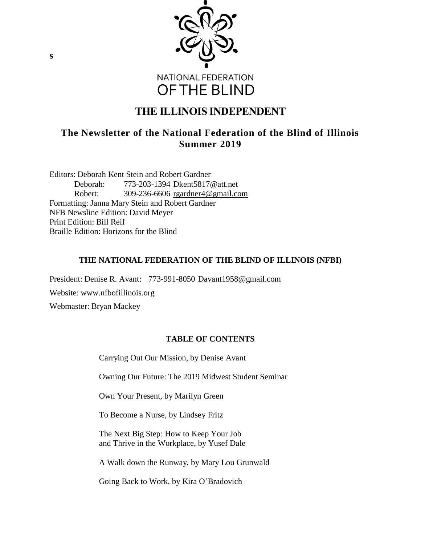

# **THE ILLINOIS INDEPENDENT**

# **The Newsletter of the National Federation of the Blind of Illinois Summer 2019**

Editors: Deborah Kent Stein and Robert Gardner Deborah: 773-203-1394 [Dkent5817@att.net](mailto:Dkent5817@att.net) Robert: 309-236-6606 [rgardner4@gmail.com](mailto:rgardner4@gmail.com) Formatting: Janna Mary Stein and Robert Gardner NFB Newsline Edition: David Meyer Print Edition: Bill Reif Braille Edition: Horizons for the Blind

# **THE NATIONAL FEDERATION OF THE BLIND OF ILLINOIS (NFBI)**

President: Denise R. Avant: 773-991-8050 [Davant1958@gmail.com](mailto:Davant1958@gmail.com)

Website: www.nfbofillinois.org

Webmaster: Bryan Mackey

# **TABLE OF CONTENTS**

Carrying Out Our Mission, by Denise Avant

Owning Our Future: The 2019 Midwest Student Seminar

Own Your Present, by Marilyn Green

To Become a Nurse, by Lindsey Fritz

The Next Big Step: How to Keep Your Job and Thrive in the Workplace, by Yusef Dale

A Walk down the Runway, by Mary Lou Grunwald

Going Back to Work, by Kira O'Bradovich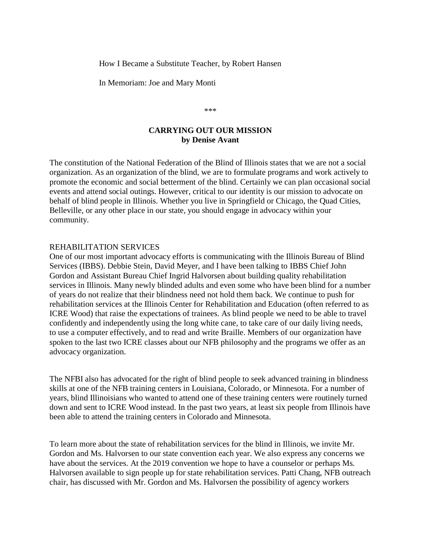How I Became a Substitute Teacher, by Robert Hansen

In Memoriam: Joe and Mary Monti

\*\*\*

#### **CARRYING OUT OUR MISSION by Denise Avant**

The constitution of the National Federation of the Blind of Illinois states that we are not a social organization. As an organization of the blind, we are to formulate programs and work actively to promote the economic and social betterment of the blind. Certainly we can plan occasional social events and attend social outings. However, critical to our identity is our mission to advocate on behalf of blind people in Illinois. Whether you live in Springfield or Chicago, the Quad Cities, Belleville, or any other place in our state, you should engage in advocacy within your community.

#### REHABILITATION SERVICES

One of our most important advocacy efforts is communicating with the Illinois Bureau of Blind Services (IBBS). Debbie Stein, David Meyer, and I have been talking to IBBS Chief John Gordon and Assistant Bureau Chief Ingrid Halvorsen about building quality rehabilitation services in Illinois. Many newly blinded adults and even some who have been blind for a number of years do not realize that their blindness need not hold them back. We continue to push for rehabilitation services at the Illinois Center for Rehabilitation and Education (often referred to as ICRE Wood) that raise the expectations of trainees. As blind people we need to be able to travel confidently and independently using the long white cane, to take care of our daily living needs, to use a computer effectively, and to read and write Braille. Members of our organization have spoken to the last two ICRE classes about our NFB philosophy and the programs we offer as an advocacy organization.

The NFBI also has advocated for the right of blind people to seek advanced training in blindness skills at one of the NFB training centers in Louisiana, Colorado, or Minnesota. For a number of years, blind Illinoisians who wanted to attend one of these training centers were routinely turned down and sent to ICRE Wood instead. In the past two years, at least six people from Illinois have been able to attend the training centers in Colorado and Minnesota.

To learn more about the state of rehabilitation services for the blind in Illinois, we invite Mr. Gordon and Ms. Halvorsen to our state convention each year. We also express any concerns we have about the services. At the 2019 convention we hope to have a counselor or perhaps Ms. Halvorsen available to sign people up for state rehabilitation services. Patti Chang, NFB outreach chair, has discussed with Mr. Gordon and Ms. Halvorsen the possibility of agency workers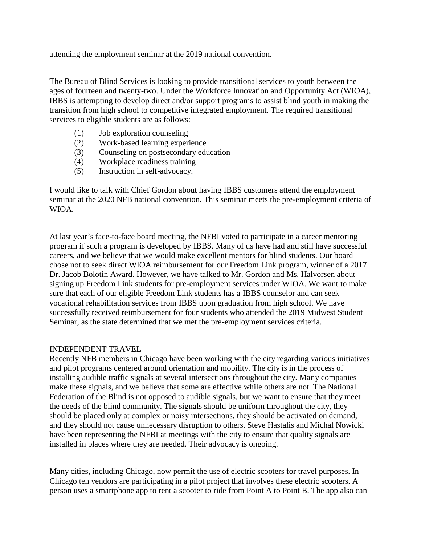attending the employment seminar at the 2019 national convention.

The Bureau of Blind Services is looking to provide transitional services to youth between the ages of fourteen and twenty-two. Under the Workforce Innovation and Opportunity Act (WIOA), IBBS is attempting to develop direct and/or support programs to assist blind youth in making the transition from high school to competitive integrated employment. The required transitional services to eligible students are as follows:

- (1) Job exploration counseling
- (2) Work-based learning experience
- (3) Counseling on postsecondary education
- (4) Workplace readiness training
- (5) Instruction in self-advocacy.

I would like to talk with Chief Gordon about having IBBS customers attend the employment seminar at the 2020 NFB national convention. This seminar meets the pre-employment criteria of WIOA.

At last year's face-to-face board meeting, the NFBI voted to participate in a career mentoring program if such a program is developed by IBBS. Many of us have had and still have successful careers, and we believe that we would make excellent mentors for blind students. Our board chose not to seek direct WIOA reimbursement for our Freedom Link program, winner of a 2017 Dr. Jacob Bolotin Award. However, we have talked to Mr. Gordon and Ms. Halvorsen about signing up Freedom Link students for pre-employment services under WIOA. We want to make sure that each of our eligible Freedom Link students has a IBBS counselor and can seek vocational rehabilitation services from IBBS upon graduation from high school. We have successfully received reimbursement for four students who attended the 2019 Midwest Student Seminar, as the state determined that we met the pre-employment services criteria.

## INDEPENDENT TRAVEL

Recently NFB members in Chicago have been working with the city regarding various initiatives and pilot programs centered around orientation and mobility. The city is in the process of installing audible traffic signals at several intersections throughout the city. Many companies make these signals, and we believe that some are effective while others are not. The National Federation of the Blind is not opposed to audible signals, but we want to ensure that they meet the needs of the blind community. The signals should be uniform throughout the city, they should be placed only at complex or noisy intersections, they should be activated on demand, and they should not cause unnecessary disruption to others. Steve Hastalis and Michal Nowicki have been representing the NFBI at meetings with the city to ensure that quality signals are installed in places where they are needed. Their advocacy is ongoing.

Many cities, including Chicago, now permit the use of electric scooters for travel purposes. In Chicago ten vendors are participating in a pilot project that involves these electric scooters. A person uses a smartphone app to rent a scooter to ride from Point A to Point B. The app also can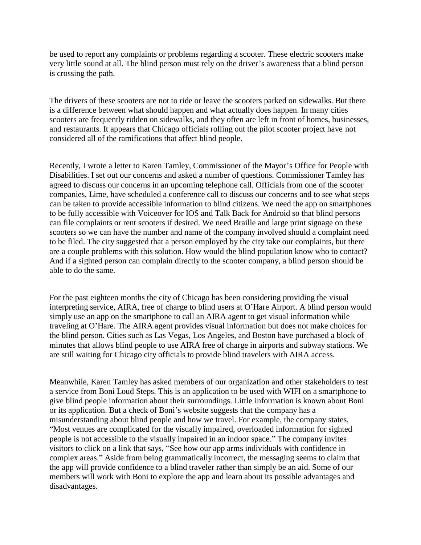be used to report any complaints or problems regarding a scooter. These electric scooters make very little sound at all. The blind person must rely on the driver's awareness that a blind person is crossing the path.

The drivers of these scooters are not to ride or leave the scooters parked on sidewalks. But there is a difference between what should happen and what actually does happen. In many cities scooters are frequently ridden on sidewalks, and they often are left in front of homes, businesses, and restaurants. It appears that Chicago officials rolling out the pilot scooter project have not considered all of the ramifications that affect blind people.

Recently, I wrote a letter to Karen Tamley, Commissioner of the Mayor's Office for People with Disabilities. I set out our concerns and asked a number of questions. Commissioner Tamley has agreed to discuss our concerns in an upcoming telephone call. Officials from one of the scooter companies, Lime, have scheduled a conference call to discuss our concerns and to see what steps can be taken to provide accessible information to blind citizens. We need the app on smartphones to be fully accessible with Voiceover for IOS and Talk Back for Android so that blind persons can file complaints or rent scooters if desired. We need Braille and large print signage on these scooters so we can have the number and name of the company involved should a complaint need to be filed. The city suggested that a person employed by the city take our complaints, but there are a couple problems with this solution. How would the blind population know who to contact? And if a sighted person can complain directly to the scooter company, a blind person should be able to do the same.

For the past eighteen months the city of Chicago has been considering providing the visual interpreting service, AIRA, free of charge to blind users at O'Hare Airport. A blind person would simply use an app on the smartphone to call an AIRA agent to get visual information while traveling at O'Hare. The AIRA agent provides visual information but does not make choices for the blind person. Cities such as Las Vegas, Los Angeles, and Boston have purchased a block of minutes that allows blind people to use AIRA free of charge in airports and subway stations. We are still waiting for Chicago city officials to provide blind travelers with AIRA access.

Meanwhile, Karen Tamley has asked members of our organization and other stakeholders to test a service from Boni Loud Steps. This is an application to be used with WIFI on a smartphone to give blind people information about their surroundings. Little information is known about Boni or its application. But a check of Boni's website suggests that the company has a misunderstanding about blind people and how we travel. For example, the company states, "Most venues are complicated for the visually impaired, overloaded information for sighted people is not accessible to the visually impaired in an indoor space." The company invites visitors to click on a link that says, "See how our app arms individuals with confidence in complex areas." Aside from being grammatically incorrect, the messaging seems to claim that the app will provide confidence to a blind traveler rather than simply be an aid. Some of our members will work with Boni to explore the app and learn about its possible advantages and disadvantages.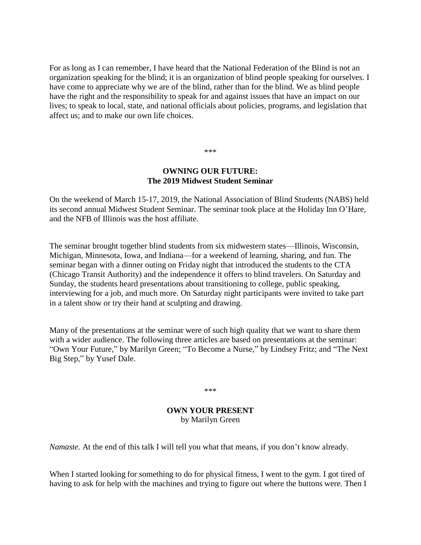For as long as I can remember, I have heard that the National Federation of the Blind is not an organization speaking for the blind; it is an organization of blind people speaking for ourselves. I have come to appreciate why we are of the blind, rather than for the blind. We as blind people have the right and the responsibility to speak for and against issues that have an impact on our lives; to speak to local, state, and national officials about policies, programs, and legislation that affect us; and to make our own life choices.

\*\*\*

## **OWNING OUR FUTURE: The 2019 Midwest Student Seminar**

On the weekend of March 15-17, 2019, the National Association of Blind Students (NABS) held its second annual Midwest Student Seminar. The seminar took place at the Holiday Inn O'Hare, and the NFB of Illinois was the host affiliate.

The seminar brought together blind students from six midwestern states—Illinois, Wisconsin, Michigan, Minnesota, Iowa, and Indiana—for a weekend of learning, sharing, and fun. The seminar began with a dinner outing on Friday night that introduced the students to the CTA (Chicago Transit Authority) and the independence it offers to blind travelers. On Saturday and Sunday, the students heard presentations about transitioning to college, public speaking, interviewing for a job, and much more. On Saturday night participants were invited to take part in a talent show or try their hand at sculpting and drawing.

Many of the presentations at the seminar were of such high quality that we want to share them with a wider audience. The following three articles are based on presentations at the seminar: "Own Your Future," by Marilyn Green; "To Become a Nurse," by Lindsey Fritz; and "The Next Big Step," by Yusef Dale.

\*\*\*

# **OWN YOUR PRESENT** by Marilyn Green

*Namaste.* At the end of this talk I will tell you what that means, if you don't know already.

When I started looking for something to do for physical fitness, I went to the gym. I got tired of having to ask for help with the machines and trying to figure out where the buttons were. Then I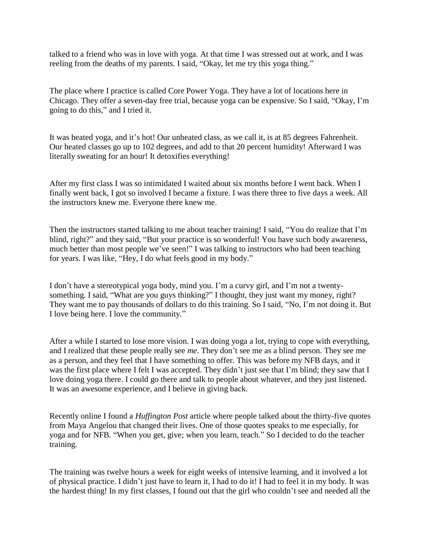talked to a friend who was in love with yoga. At that time I was stressed out at work, and I was reeling from the deaths of my parents. I said, "Okay, let me try this yoga thing."

The place where I practice is called Core Power Yoga. They have a lot of locations here in Chicago. They offer a seven-day free trial, because yoga can be expensive. So I said, "Okay, I'm going to do this," and I tried it.

It was heated yoga, and it's hot! Our unheated class, as we call it, is at 85 degrees Fahrenheit. Our heated classes go up to 102 degrees, and add to that 20 percent humidity! Afterward I was literally sweating for an hour! It detoxifies everything!

After my first class I was so intimidated I waited about six months before I went back. When I finally went back, I got so involved I became a fixture. I was there three to five days a week. All the instructors knew me. Everyone there knew me.

Then the instructors started talking to me about teacher training! I said, "You do realize that I'm blind, right?" and they said, "But your practice is so wonderful! You have such body awareness, much better than most people we've seen!" I was talking to instructors who had been teaching for years. I was like, "Hey, I do what feels good in my body."

I don't have a stereotypical yoga body, mind you. I'm a curvy girl, and I'm not a twentysomething. I said, "What are you guys thinking?" I thought, they just want my money, right? They want me to pay thousands of dollars to do this training. So I said, "No, I'm not doing it. But I love being here. I love the community."

After a while I started to lose more vision. I was doing yoga a lot, trying to cope with everything, and I realized that these people really see *me*. They don't see me as a blind person. They see me as a person, and they feel that I have something to offer. This was before my NFB days, and it was the first place where I felt I was accepted. They didn't just see that I'm blind; they saw that I love doing yoga there. I could go there and talk to people about whatever, and they just listened. It was an awesome experience, and I believe in giving back.

Recently online I found a *Huffington Post* article where people talked about the thirty-five quotes from Maya Angelou that changed their lives. One of those quotes speaks to me especially, for yoga and for NFB. "When you get, give; when you learn, teach." So I decided to do the teacher training.

The training was twelve hours a week for eight weeks of intensive learning, and it involved a lot of physical practice. I didn't just have to learn it, I had to do it! I had to feel it in my body. It was the hardest thing! In my first classes, I found out that the girl who couldn't see and needed all the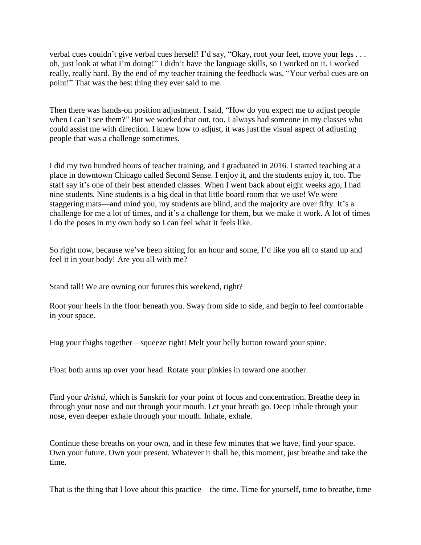verbal cues couldn't give verbal cues herself! I'd say, "Okay, root your feet, move your legs . . . oh, just look at what I'm doing!" I didn't have the language skills, so I worked on it. I worked really, really hard. By the end of my teacher training the feedback was, "Your verbal cues are on point!" That was the best thing they ever said to me.

Then there was hands-on position adjustment. I said, "How do you expect me to adjust people when I can't see them?" But we worked that out, too. I always had someone in my classes who could assist me with direction. I knew how to adjust, it was just the visual aspect of adjusting people that was a challenge sometimes.

I did my two hundred hours of teacher training, and I graduated in 2016. I started teaching at a place in downtown Chicago called Second Sense. I enjoy it, and the students enjoy it, too. The staff say it's one of their best attended classes. When I went back about eight weeks ago, I had nine students. Nine students is a big deal in that little board room that we use! We were staggering mats—and mind you, my students are blind, and the majority are over fifty. It's a challenge for me a lot of times, and it's a challenge for them, but we make it work. A lot of times I do the poses in my own body so I can feel what it feels like.

So right now, because we've been sitting for an hour and some, I'd like you all to stand up and feel it in your body! Are you all with me?

Stand tall! We are owning our futures this weekend, right?

Root your heels in the floor beneath you. Sway from side to side, and begin to feel comfortable in your space.

Hug your thighs together—squeeze tight! Melt your belly button toward your spine.

Float both arms up over your head. Rotate your pinkies in toward one another.

Find your *drishti*, which is Sanskrit for your point of focus and concentration. Breathe deep in through your nose and out through your mouth. Let your breath go. Deep inhale through your nose, even deeper exhale through your mouth. Inhale, exhale.

Continue these breaths on your own, and in these few minutes that we have, find your space. Own your future. Own your present. Whatever it shall be, this moment, just breathe and take the time.

That is the thing that I love about this practice—the time. Time for yourself, time to breathe, time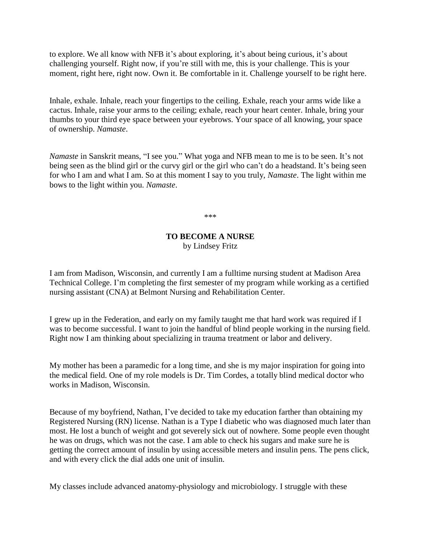to explore. We all know with NFB it's about exploring, it's about being curious, it's about challenging yourself. Right now, if you're still with me, this is your challenge. This is your moment, right here, right now. Own it. Be comfortable in it. Challenge yourself to be right here.

Inhale, exhale. Inhale, reach your fingertips to the ceiling. Exhale, reach your arms wide like a cactus. Inhale, raise your arms to the ceiling; exhale, reach your heart center. Inhale, bring your thumbs to your third eye space between your eyebrows. Your space of all knowing, your space of ownership. *Namaste*.

*Namaste* in Sanskrit means, "I see you." What yoga and NFB mean to me is to be seen. It's not being seen as the blind girl or the curvy girl or the girl who can't do a headstand. It's being seen for who I am and what I am. So at this moment I say to you truly, *Namaste*. The light within me bows to the light within you. *Namaste*.

\*\*\*

# **TO BECOME A NURSE** by Lindsey Fritz

I am from Madison, Wisconsin, and currently I am a fulltime nursing student at Madison Area Technical College. I'm completing the first semester of my program while working as a certified nursing assistant (CNA) at Belmont Nursing and Rehabilitation Center.

I grew up in the Federation, and early on my family taught me that hard work was required if I was to become successful. I want to join the handful of blind people working in the nursing field. Right now I am thinking about specializing in trauma treatment or labor and delivery.

My mother has been a paramedic for a long time, and she is my major inspiration for going into the medical field. One of my role models is Dr. Tim Cordes, a totally blind medical doctor who works in Madison, Wisconsin.

Because of my boyfriend, Nathan, I've decided to take my education farther than obtaining my Registered Nursing (RN) license. Nathan is a Type I diabetic who was diagnosed much later than most. He lost a bunch of weight and got severely sick out of nowhere. Some people even thought he was on drugs, which was not the case. I am able to check his sugars and make sure he is getting the correct amount of insulin by using accessible meters and insulin pens. The pens click, and with every click the dial adds one unit of insulin.

My classes include advanced anatomy-physiology and microbiology. I struggle with these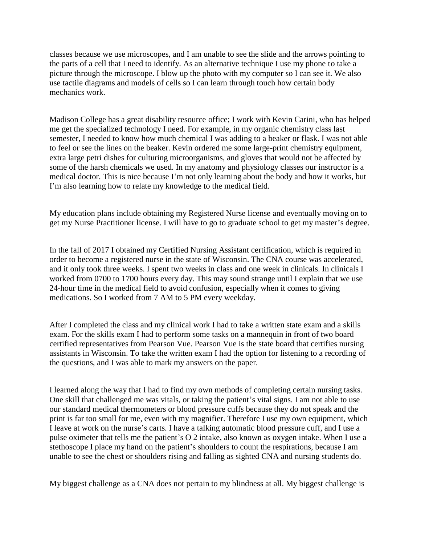classes because we use microscopes, and I am unable to see the slide and the arrows pointing to the parts of a cell that I need to identify. As an alternative technique I use my phone to take a picture through the microscope. I blow up the photo with my computer so I can see it. We also use tactile diagrams and models of cells so I can learn through touch how certain body mechanics work.

Madison College has a great disability resource office; I work with Kevin Carini, who has helped me get the specialized technology I need. For example, in my organic chemistry class last semester, I needed to know how much chemical I was adding to a beaker or flask. I was not able to feel or see the lines on the beaker. Kevin ordered me some large-print chemistry equipment, extra large petri dishes for culturing microorganisms, and gloves that would not be affected by some of the harsh chemicals we used. In my anatomy and physiology classes our instructor is a medical doctor. This is nice because I'm not only learning about the body and how it works, but I'm also learning how to relate my knowledge to the medical field.

My education plans include obtaining my Registered Nurse license and eventually moving on to get my Nurse Practitioner license. I will have to go to graduate school to get my master's degree.

In the fall of 2017 I obtained my Certified Nursing Assistant certification, which is required in order to become a registered nurse in the state of Wisconsin. The CNA course was accelerated, and it only took three weeks. I spent two weeks in class and one week in clinicals. In clinicals I worked from 0700 to 1700 hours every day. This may sound strange until I explain that we use 24-hour time in the medical field to avoid confusion, especially when it comes to giving medications. So I worked from 7 AM to 5 PM every weekday.

After I completed the class and my clinical work I had to take a written state exam and a skills exam. For the skills exam I had to perform some tasks on a mannequin in front of two board certified representatives from Pearson Vue. Pearson Vue is the state board that certifies nursing assistants in Wisconsin. To take the written exam I had the option for listening to a recording of the questions, and I was able to mark my answers on the paper.

I learned along the way that I had to find my own methods of completing certain nursing tasks. One skill that challenged me was vitals, or taking the patient's vital signs. I am not able to use our standard medical thermometers or blood pressure cuffs because they do not speak and the print is far too small for me, even with my magnifier. Therefore I use my own equipment, which I leave at work on the nurse's carts. I have a talking automatic blood pressure cuff, and I use a pulse oximeter that tells me the patient's O 2 intake, also known as oxygen intake. When I use a stethoscope I place my hand on the patient's shoulders to count the respirations, because I am unable to see the chest or shoulders rising and falling as sighted CNA and nursing students do.

My biggest challenge as a CNA does not pertain to my blindness at all. My biggest challenge is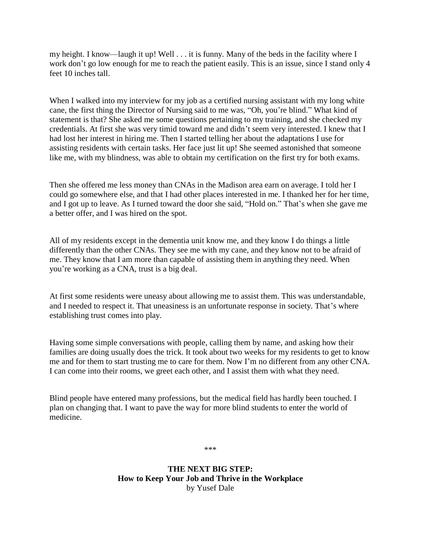my height. I know—laugh it up! Well . . . it is funny. Many of the beds in the facility where I work don't go low enough for me to reach the patient easily. This is an issue, since I stand only 4 feet 10 inches tall.

When I walked into my interview for my job as a certified nursing assistant with my long white cane, the first thing the Director of Nursing said to me was, "Oh, you're blind." What kind of statement is that? She asked me some questions pertaining to my training, and she checked my credentials. At first she was very timid toward me and didn't seem very interested. I knew that I had lost her interest in hiring me. Then I started telling her about the adaptations I use for assisting residents with certain tasks. Her face just lit up! She seemed astonished that someone like me, with my blindness, was able to obtain my certification on the first try for both exams.

Then she offered me less money than CNAs in the Madison area earn on average. I told her I could go somewhere else, and that I had other places interested in me. I thanked her for her time, and I got up to leave. As I turned toward the door she said, "Hold on." That's when she gave me a better offer, and I was hired on the spot.

All of my residents except in the dementia unit know me, and they know I do things a little differently than the other CNAs. They see me with my cane, and they know not to be afraid of me. They know that I am more than capable of assisting them in anything they need. When you're working as a CNA, trust is a big deal.

At first some residents were uneasy about allowing me to assist them. This was understandable, and I needed to respect it. That uneasiness is an unfortunate response in society. That's where establishing trust comes into play.

Having some simple conversations with people, calling them by name, and asking how their families are doing usually does the trick. It took about two weeks for my residents to get to know me and for them to start trusting me to care for them. Now I'm no different from any other CNA. I can come into their rooms, we greet each other, and I assist them with what they need.

Blind people have entered many professions, but the medical field has hardly been touched. I plan on changing that. I want to pave the way for more blind students to enter the world of medicine.

\*\*\*

**THE NEXT BIG STEP: How to Keep Your Job and Thrive in the Workplace** by Yusef Dale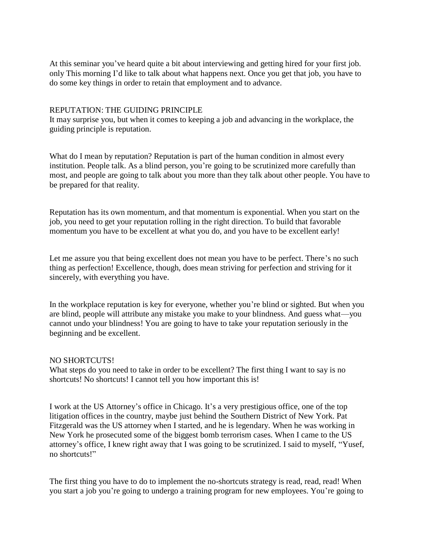At this seminar you've heard quite a bit about interviewing and getting hired for your first job. only This morning I'd like to talk about what happens next. Once you get that job, you have to do some key things in order to retain that employment and to advance.

#### REPUTATION: THE GUIDING PRINCIPLE

It may surprise you, but when it comes to keeping a job and advancing in the workplace, the guiding principle is reputation.

What do I mean by reputation? Reputation is part of the human condition in almost every institution. People talk. As a blind person, you're going to be scrutinized more carefully than most, and people are going to talk about you more than they talk about other people. You have to be prepared for that reality.

Reputation has its own momentum, and that momentum is exponential. When you start on the job, you need to get your reputation rolling in the right direction. To build that favorable momentum you have to be excellent at what you do, and you have to be excellent early!

Let me assure you that being excellent does not mean you have to be perfect. There's no such thing as perfection! Excellence, though, does mean striving for perfection and striving for it sincerely, with everything you have.

In the workplace reputation is key for everyone, whether you're blind or sighted. But when you are blind, people will attribute any mistake you make to your blindness. And guess what—you cannot undo your blindness! You are going to have to take your reputation seriously in the beginning and be excellent.

#### NO SHORTCUTS!

What steps do you need to take in order to be excellent? The first thing I want to say is no shortcuts! No shortcuts! I cannot tell you how important this is!

I work at the US Attorney's office in Chicago. It's a very prestigious office, one of the top litigation offices in the country, maybe just behind the Southern District of New York. Pat Fitzgerald was the US attorney when I started, and he is legendary. When he was working in New York he prosecuted some of the biggest bomb terrorism cases. When I came to the US attorney's office, I knew right away that I was going to be scrutinized. I said to myself, "Yusef, no shortcuts!"

The first thing you have to do to implement the no-shortcuts strategy is read, read, read! When you start a job you're going to undergo a training program for new employees. You're going to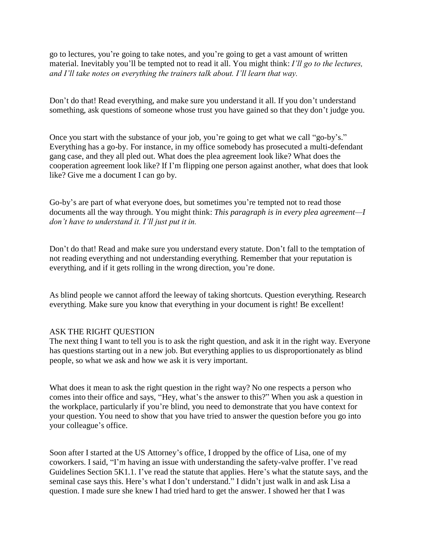go to lectures, you're going to take notes, and you're going to get a vast amount of written material. Inevitably you'll be tempted not to read it all. You might think: *I'll go to the lectures, and I'll take notes on everything the trainers talk about. I'll learn that way.*

Don't do that! Read everything, and make sure you understand it all. If you don't understand something, ask questions of someone whose trust you have gained so that they don't judge you.

Once you start with the substance of your job, you're going to get what we call "go-by's." Everything has a go-by. For instance, in my office somebody has prosecuted a multi-defendant gang case, and they all pled out. What does the plea agreement look like? What does the cooperation agreement look like? If I'm flipping one person against another, what does that look like? Give me a document I can go by.

Go-by's are part of what everyone does, but sometimes you're tempted not to read those documents all the way through. You might think: *This paragraph is in every plea agreement—I don't have to understand it. I'll just put it in.*

Don't do that! Read and make sure you understand every statute. Don't fall to the temptation of not reading everything and not understanding everything. Remember that your reputation is everything, and if it gets rolling in the wrong direction, you're done.

As blind people we cannot afford the leeway of taking shortcuts. Question everything. Research everything. Make sure you know that everything in your document is right! Be excellent!

## ASK THE RIGHT QUESTION

The next thing I want to tell you is to ask the right question, and ask it in the right way. Everyone has questions starting out in a new job. But everything applies to us disproportionately as blind people, so what we ask and how we ask it is very important.

What does it mean to ask the right question in the right way? No one respects a person who comes into their office and says, "Hey, what's the answer to this?" When you ask a question in the workplace, particularly if you're blind, you need to demonstrate that you have context for your question. You need to show that you have tried to answer the question before you go into your colleague's office.

Soon after I started at the US Attorney's office, I dropped by the office of Lisa, one of my coworkers. I said, "I'm having an issue with understanding the safety-valve proffer. I've read Guidelines Section 5K1.1. I've read the statute that applies. Here's what the statute says, and the seminal case says this. Here's what I don't understand." I didn't just walk in and ask Lisa a question. I made sure she knew I had tried hard to get the answer. I showed her that I was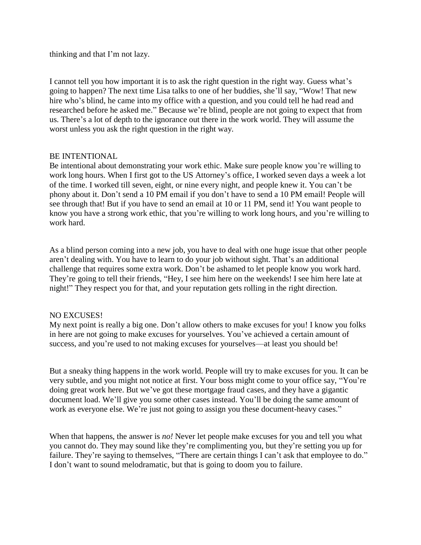thinking and that I'm not lazy.

I cannot tell you how important it is to ask the right question in the right way. Guess what's going to happen? The next time Lisa talks to one of her buddies, she'll say, "Wow! That new hire who's blind, he came into my office with a question, and you could tell he had read and researched before he asked me." Because we're blind, people are not going to expect that from us. There's a lot of depth to the ignorance out there in the work world. They will assume the worst unless you ask the right question in the right way.

#### BE INTENTIONAL

Be intentional about demonstrating your work ethic. Make sure people know you're willing to work long hours. When I first got to the US Attorney's office, I worked seven days a week a lot of the time. I worked till seven, eight, or nine every night, and people knew it. You can't be phony about it. Don't send a 10 PM email if you don't have to send a 10 PM email! People will see through that! But if you have to send an email at 10 or 11 PM, send it! You want people to know you have a strong work ethic, that you're willing to work long hours, and you're willing to work hard.

As a blind person coming into a new job, you have to deal with one huge issue that other people aren't dealing with. You have to learn to do your job without sight. That's an additional challenge that requires some extra work. Don't be ashamed to let people know you work hard. They're going to tell their friends, "Hey, I see him here on the weekends! I see him here late at night!" They respect you for that, and your reputation gets rolling in the right direction.

## NO EXCUSES!

My next point is really a big one. Don't allow others to make excuses for you! I know you folks in here are not going to make excuses for yourselves. You've achieved a certain amount of success, and you're used to not making excuses for yourselves—at least you should be!

But a sneaky thing happens in the work world. People will try to make excuses for you. It can be very subtle, and you might not notice at first. Your boss might come to your office say, "You're doing great work here. But we've got these mortgage fraud cases, and they have a gigantic document load. We'll give you some other cases instead. You'll be doing the same amount of work as everyone else. We're just not going to assign you these document-heavy cases."

When that happens, the answer is *no!* Never let people make excuses for you and tell you what you cannot do. They may sound like they're complimenting you, but they're setting you up for failure. They're saying to themselves, "There are certain things I can't ask that employee to do." I don't want to sound melodramatic, but that is going to doom you to failure.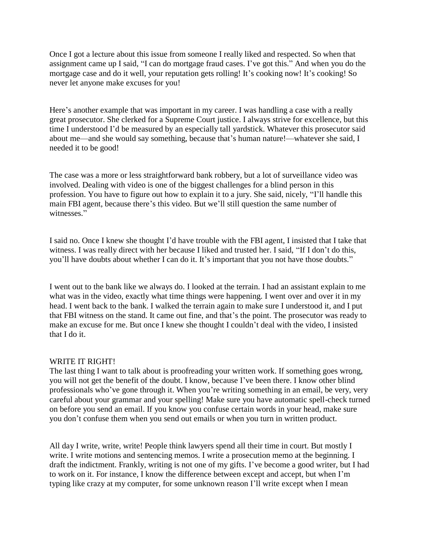Once I got a lecture about this issue from someone I really liked and respected. So when that assignment came up I said, "I can do mortgage fraud cases. I've got this." And when you do the mortgage case and do it well, your reputation gets rolling! It's cooking now! It's cooking! So never let anyone make excuses for you!

Here's another example that was important in my career. I was handling a case with a really great prosecutor. She clerked for a Supreme Court justice. I always strive for excellence, but this time I understood I'd be measured by an especially tall yardstick. Whatever this prosecutor said about me—and she would say something, because that's human nature!—whatever she said, I needed it to be good!

The case was a more or less straightforward bank robbery, but a lot of surveillance video was involved. Dealing with video is one of the biggest challenges for a blind person in this profession. You have to figure out how to explain it to a jury. She said, nicely, "I'll handle this main FBI agent, because there's this video. But we'll still question the same number of witnesses."

I said no. Once I knew she thought I'd have trouble with the FBI agent, I insisted that I take that witness. I was really direct with her because I liked and trusted her. I said, "If I don't do this, you'll have doubts about whether I can do it. It's important that you not have those doubts."

I went out to the bank like we always do. I looked at the terrain. I had an assistant explain to me what was in the video, exactly what time things were happening. I went over and over it in my head. I went back to the bank. I walked the terrain again to make sure I understood it, and I put that FBI witness on the stand. It came out fine, and that's the point. The prosecutor was ready to make an excuse for me. But once I knew she thought I couldn't deal with the video, I insisted that I do it.

## WRITE IT RIGHT!

The last thing I want to talk about is proofreading your written work. If something goes wrong, you will not get the benefit of the doubt. I know, because I've been there. I know other blind professionals who've gone through it. When you're writing something in an email, be very, very careful about your grammar and your spelling! Make sure you have automatic spell-check turned on before you send an email. If you know you confuse certain words in your head, make sure you don't confuse them when you send out emails or when you turn in written product.

All day I write, write, write! People think lawyers spend all their time in court. But mostly I write. I write motions and sentencing memos. I write a prosecution memo at the beginning. I draft the indictment. Frankly, writing is not one of my gifts. I've become a good writer, but I had to work on it. For instance, I know the difference between except and accept, but when I'm typing like crazy at my computer, for some unknown reason I'll write except when I mean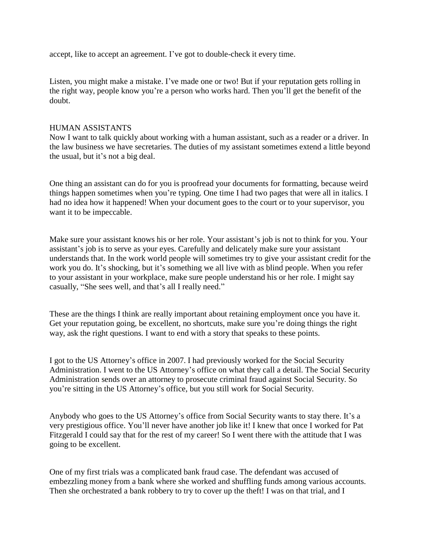accept, like to accept an agreement. I've got to double-check it every time.

Listen, you might make a mistake. I've made one or two! But if your reputation gets rolling in the right way, people know you're a person who works hard. Then you'll get the benefit of the doubt.

## HUMAN ASSISTANTS

Now I want to talk quickly about working with a human assistant, such as a reader or a driver. In the law business we have secretaries. The duties of my assistant sometimes extend a little beyond the usual, but it's not a big deal.

One thing an assistant can do for you is proofread your documents for formatting, because weird things happen sometimes when you're typing. One time I had two pages that were all in italics. I had no idea how it happened! When your document goes to the court or to your supervisor, you want it to be impeccable.

Make sure your assistant knows his or her role. Your assistant's job is not to think for you. Your assistant's job is to serve as your eyes. Carefully and delicately make sure your assistant understands that. In the work world people will sometimes try to give your assistant credit for the work you do. It's shocking, but it's something we all live with as blind people. When you refer to your assistant in your workplace, make sure people understand his or her role. I might say casually, "She sees well, and that's all I really need."

These are the things I think are really important about retaining employment once you have it. Get your reputation going, be excellent, no shortcuts, make sure you're doing things the right way, ask the right questions. I want to end with a story that speaks to these points.

I got to the US Attorney's office in 2007. I had previously worked for the Social Security Administration. I went to the US Attorney's office on what they call a detail. The Social Security Administration sends over an attorney to prosecute criminal fraud against Social Security. So you're sitting in the US Attorney's office, but you still work for Social Security.

Anybody who goes to the US Attorney's office from Social Security wants to stay there. It's a very prestigious office. You'll never have another job like it! I knew that once I worked for Pat Fitzgerald I could say that for the rest of my career! So I went there with the attitude that I was going to be excellent.

One of my first trials was a complicated bank fraud case. The defendant was accused of embezzling money from a bank where she worked and shuffling funds among various accounts. Then she orchestrated a bank robbery to try to cover up the theft! I was on that trial, and I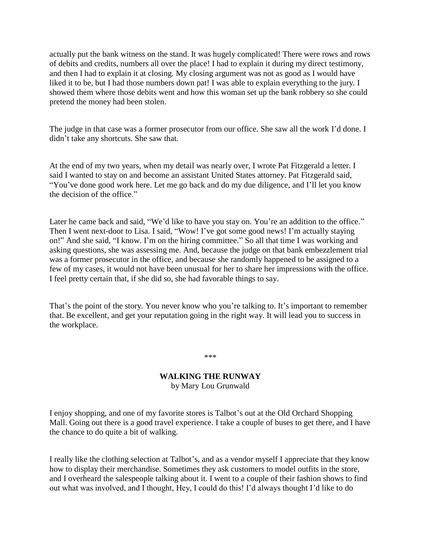actually put the bank witness on the stand. It was hugely complicated! There were rows and rows of debits and credits, numbers all over the place! I had to explain it during my direct testimony, and then I had to explain it at closing. My closing argument was not as good as I would have liked it to be, but I had those numbers down pat! I was able to explain everything to the jury. I showed them where those debits went and how this woman set up the bank robbery so she could pretend the money had been stolen.

The judge in that case was a former prosecutor from our office. She saw all the work I'd done. I didn't take any shortcuts. She saw that.

At the end of my two years, when my detail was nearly over, I wrote Pat Fitzgerald a letter. I said I wanted to stay on and become an assistant United States attorney. Pat Fitzgerald said, "You've done good work here. Let me go back and do my due diligence, and I'll let you know the decision of the office."

Later he came back and said, "We'd like to have you stay on. You're an addition to the office." Then I went next-door to Lisa. I said, "Wow! I've got some good news! I'm actually staying on!" And she said, "I know. I'm on the hiring committee." So all that time I was working and asking questions, she was assessing me. And, because the judge on that bank embezzlement trial was a former prosecutor in the office, and because she randomly happened to be assigned to a few of my cases, it would not have been unusual for her to share her impressions with the office. I feel pretty certain that, if she did so, she had favorable things to say.

That's the point of the story. You never know who you're talking to. It's important to remember that. Be excellent, and get your reputation going in the right way. It will lead you to success in the workplace.

\*\*\*

## **WALKING THE RUNWAY** by Mary Lou Grunwald

I enjoy shopping, and one of my favorite stores is Talbot's out at the Old Orchard Shopping Mall. Going out there is a good travel experience. I take a couple of buses to get there, and I have the chance to do quite a bit of walking.

I really like the clothing selection at Talbot's, and as a vendor myself I appreciate that they know how to display their merchandise. Sometimes they ask customers to model outfits in the store, and I overheard the salespeople talking about it. I went to a couple of their fashion shows to find out what was involved, and I thought, Hey, I could do this! I'd always thought I'd like to do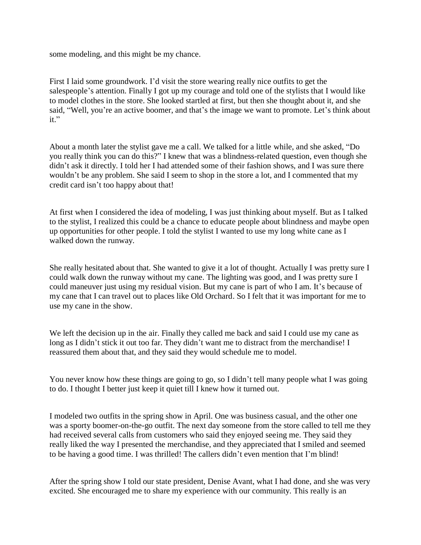some modeling, and this might be my chance.

First I laid some groundwork. I'd visit the store wearing really nice outfits to get the salespeople's attention. Finally I got up my courage and told one of the stylists that I would like to model clothes in the store. She looked startled at first, but then she thought about it, and she said, "Well, you're an active boomer, and that's the image we want to promote. Let's think about it."

About a month later the stylist gave me a call. We talked for a little while, and she asked, "Do you really think you can do this?" I knew that was a blindness-related question, even though she didn't ask it directly. I told her I had attended some of their fashion shows, and I was sure there wouldn't be any problem. She said I seem to shop in the store a lot, and I commented that my credit card isn't too happy about that!

At first when I considered the idea of modeling, I was just thinking about myself. But as I talked to the stylist, I realized this could be a chance to educate people about blindness and maybe open up opportunities for other people. I told the stylist I wanted to use my long white cane as I walked down the runway.

She really hesitated about that. She wanted to give it a lot of thought. Actually I was pretty sure I could walk down the runway without my cane. The lighting was good, and I was pretty sure I could maneuver just using my residual vision. But my cane is part of who I am. It's because of my cane that I can travel out to places like Old Orchard. So I felt that it was important for me to use my cane in the show.

We left the decision up in the air. Finally they called me back and said I could use my cane as long as I didn't stick it out too far. They didn't want me to distract from the merchandise! I reassured them about that, and they said they would schedule me to model.

You never know how these things are going to go, so I didn't tell many people what I was going to do. I thought I better just keep it quiet till I knew how it turned out.

I modeled two outfits in the spring show in April. One was business casual, and the other one was a sporty boomer-on-the-go outfit. The next day someone from the store called to tell me they had received several calls from customers who said they enjoyed seeing me. They said they really liked the way I presented the merchandise, and they appreciated that I smiled and seemed to be having a good time. I was thrilled! The callers didn't even mention that I'm blind!

After the spring show I told our state president, Denise Avant, what I had done, and she was very excited. She encouraged me to share my experience with our community. This really is an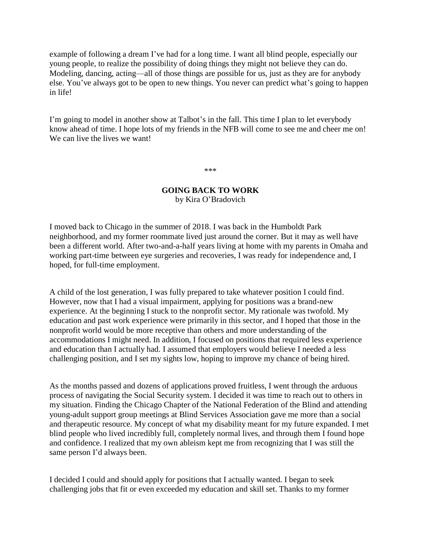example of following a dream I've had for a long time. I want all blind people, especially our young people, to realize the possibility of doing things they might not believe they can do. Modeling, dancing, acting—all of those things are possible for us, just as they are for anybody else. You've always got to be open to new things. You never can predict what's going to happen in life!

I'm going to model in another show at Talbot's in the fall. This time I plan to let everybody know ahead of time. I hope lots of my friends in the NFB will come to see me and cheer me on! We can live the lives we want!

\*\*\*

#### **GOING BACK TO WORK** by Kira O'Bradovich

I moved back to Chicago in the summer of 2018. I was back in the Humboldt Park neighborhood, and my former roommate lived just around the corner. But it may as well have been a different world. After two-and-a-half years living at home with my parents in Omaha and working part-time between eye surgeries and recoveries, I was ready for independence and, I hoped, for full-time employment.

A child of the lost generation, I was fully prepared to take whatever position I could find. However, now that I had a visual impairment, applying for positions was a brand-new experience. At the beginning I stuck to the nonprofit sector. My rationale was twofold. My education and past work experience were primarily in this sector, and I hoped that those in the nonprofit world would be more receptive than others and more understanding of the accommodations I might need. In addition, I focused on positions that required less experience and education than I actually had. I assumed that employers would believe I needed a less challenging position, and I set my sights low, hoping to improve my chance of being hired.

As the months passed and dozens of applications proved fruitless, I went through the arduous process of navigating the Social Security system. I decided it was time to reach out to others in my situation. Finding the Chicago Chapter of the National Federation of the Blind and attending young-adult support group meetings at Blind Services Association gave me more than a social and therapeutic resource. My concept of what my disability meant for my future expanded. I met blind people who lived incredibly full, completely normal lives, and through them I found hope and confidence. I realized that my own ableism kept me from recognizing that I was still the same person I'd always been.

I decided I could and should apply for positions that I actually wanted. I began to seek challenging jobs that fit or even exceeded my education and skill set. Thanks to my former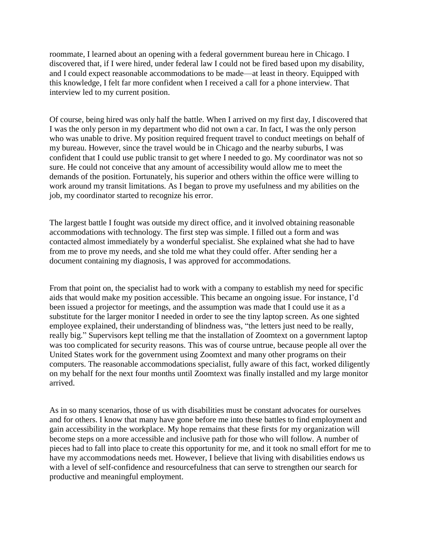roommate, I learned about an opening with a federal government bureau here in Chicago. I discovered that, if I were hired, under federal law I could not be fired based upon my disability, and I could expect reasonable accommodations to be made—at least in theory. Equipped with this knowledge, I felt far more confident when I received a call for a phone interview. That interview led to my current position.

Of course, being hired was only half the battle. When I arrived on my first day, I discovered that I was the only person in my department who did not own a car. In fact, I was the only person who was unable to drive. My position required frequent travel to conduct meetings on behalf of my bureau. However, since the travel would be in Chicago and the nearby suburbs, I was confident that I could use public transit to get where I needed to go. My coordinator was not so sure. He could not conceive that any amount of accessibility would allow me to meet the demands of the position. Fortunately, his superior and others within the office were willing to work around my transit limitations. As I began to prove my usefulness and my abilities on the job, my coordinator started to recognize his error.

The largest battle I fought was outside my direct office, and it involved obtaining reasonable accommodations with technology. The first step was simple. I filled out a form and was contacted almost immediately by a wonderful specialist. She explained what she had to have from me to prove my needs, and she told me what they could offer. After sending her a document containing my diagnosis, I was approved for accommodations.

From that point on, the specialist had to work with a company to establish my need for specific aids that would make my position accessible. This became an ongoing issue. For instance, I'd been issued a projector for meetings, and the assumption was made that I could use it as a substitute for the larger monitor I needed in order to see the tiny laptop screen. As one sighted employee explained, their understanding of blindness was, "the letters just need to be really, really big." Supervisors kept telling me that the installation of Zoomtext on a government laptop was too complicated for security reasons. This was of course untrue, because people all over the United States work for the government using Zoomtext and many other programs on their computers. The reasonable accommodations specialist, fully aware of this fact, worked diligently on my behalf for the next four months until Zoomtext was finally installed and my large monitor arrived.

As in so many scenarios, those of us with disabilities must be constant advocates for ourselves and for others. I know that many have gone before me into these battles to find employment and gain accessibility in the workplace. My hope remains that these firsts for my organization will become steps on a more accessible and inclusive path for those who will follow. A number of pieces had to fall into place to create this opportunity for me, and it took no small effort for me to have my accommodations needs met. However, I believe that living with disabilities endows us with a level of self-confidence and resourcefulness that can serve to strengthen our search for productive and meaningful employment.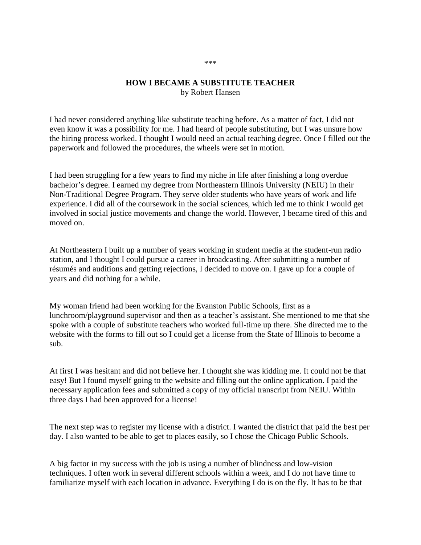# **HOW I BECAME A SUBSTITUTE TEACHER** by Robert Hansen

I had never considered anything like substitute teaching before. As a matter of fact, I did not even know it was a possibility for me. I had heard of people substituting, but I was unsure how the hiring process worked. I thought I would need an actual teaching degree. Once I filled out the paperwork and followed the procedures, the wheels were set in motion.

I had been struggling for a few years to find my niche in life after finishing a long overdue bachelor's degree. I earned my degree from Northeastern Illinois University (NEIU) in their Non-Traditional Degree Program. They serve older students who have years of work and life experience. I did all of the coursework in the social sciences, which led me to think I would get involved in social justice movements and change the world. However, I became tired of this and moved on.

At Northeastern I built up a number of years working in student media at the student-run radio station, and I thought I could pursue a career in broadcasting. After submitting a number of résumés and auditions and getting rejections, I decided to move on. I gave up for a couple of years and did nothing for a while.

My woman friend had been working for the Evanston Public Schools, first as a lunchroom/playground supervisor and then as a teacher's assistant. She mentioned to me that she spoke with a couple of substitute teachers who worked full-time up there. She directed me to the website with the forms to fill out so I could get a license from the State of Illinois to become a sub.

At first I was hesitant and did not believe her. I thought she was kidding me. It could not be that easy! But I found myself going to the website and filling out the online application. I paid the necessary application fees and submitted a copy of my official transcript from NEIU. Within three days I had been approved for a license!

The next step was to register my license with a district. I wanted the district that paid the best per day. I also wanted to be able to get to places easily, so I chose the Chicago Public Schools.

A big factor in my success with the job is using a number of blindness and low-vision techniques. I often work in several different schools within a week, and I do not have time to familiarize myself with each location in advance. Everything I do is on the fly. It has to be that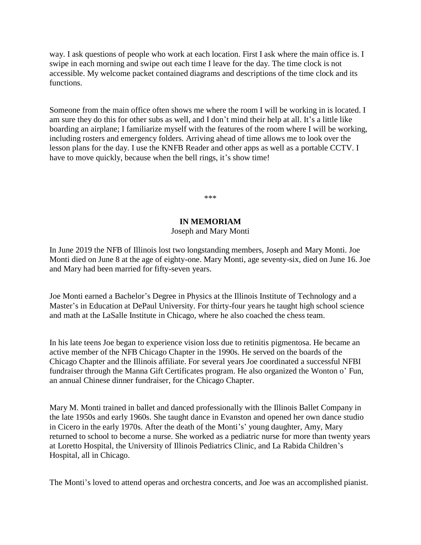way. I ask questions of people who work at each location. First I ask where the main office is. I swipe in each morning and swipe out each time I leave for the day. The time clock is not accessible. My welcome packet contained diagrams and descriptions of the time clock and its functions.

Someone from the main office often shows me where the room I will be working in is located. I am sure they do this for other subs as well, and I don't mind their help at all. It's a little like boarding an airplane; I familiarize myself with the features of the room where I will be working, including rosters and emergency folders. Arriving ahead of time allows me to look over the lesson plans for the day. I use the KNFB Reader and other apps as well as a portable CCTV. I have to move quickly, because when the bell rings, it's show time!

\*\*\*

#### **IN MEMORIAM**

#### Joseph and Mary Monti

In June 2019 the NFB of Illinois lost two longstanding members, Joseph and Mary Monti. Joe Monti died on June 8 at the age of eighty-one. Mary Monti, age seventy-six, died on June 16. Joe and Mary had been married for fifty-seven years.

Joe Monti earned a Bachelor's Degree in Physics at the Illinois Institute of Technology and a Master's in Education at DePaul University. For thirty-four years he taught high school science and math at the LaSalle Institute in Chicago, where he also coached the chess team.

In his late teens Joe began to experience vision loss due to retinitis pigmentosa. He became an active member of the NFB Chicago Chapter in the 1990s. He served on the boards of the Chicago Chapter and the Illinois affiliate. For several years Joe coordinated a successful NFBI fundraiser through the Manna Gift Certificates program. He also organized the Wonton o' Fun, an annual Chinese dinner fundraiser, for the Chicago Chapter.

Mary M. Monti trained in ballet and danced professionally with the Illinois Ballet Company in the late 1950s and early 1960s. She taught dance in Evanston and opened her own dance studio in Cicero in the early 1970s. After the death of the Monti's' young daughter, Amy, Mary returned to school to become a nurse. She worked as a pediatric nurse for more than twenty years at Loretto Hospital, the University of Illinois Pediatrics Clinic, and La Rabida Children's Hospital, all in Chicago.

The Monti's loved to attend operas and orchestra concerts, and Joe was an accomplished pianist.